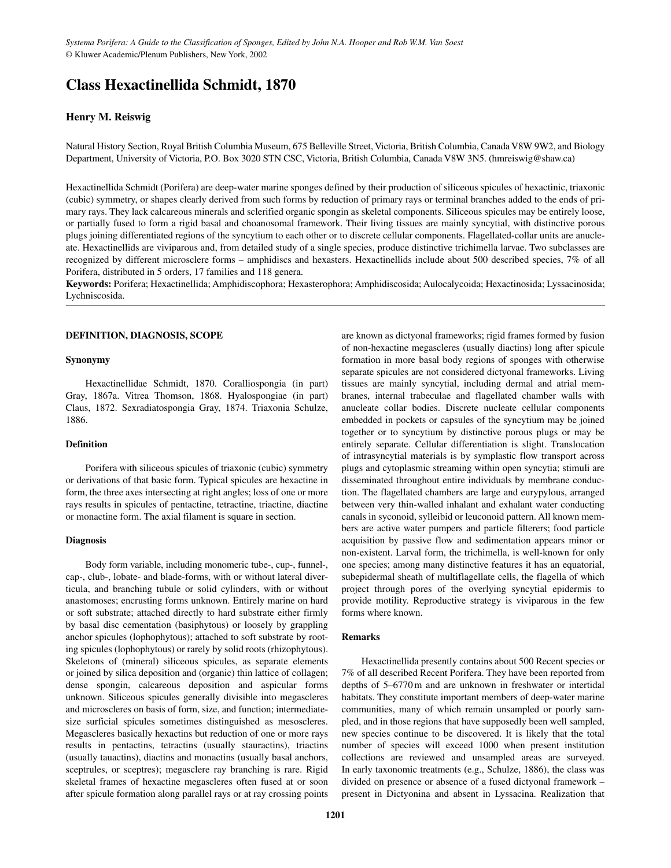# **Class Hexactinellida Schmidt, 1870**

# **Henry M. Reiswig**

Natural History Section, Royal British Columbia Museum, 675 Belleville Street, Victoria, British Columbia, Canada V8W 9W2, and Biology Department, University of Victoria, P.O. Box 3020 STN CSC, Victoria, British Columbia, Canada V8W 3N5. (hmreiswig@shaw.ca)

Hexactinellida Schmidt (Porifera) are deep-water marine sponges defined by their production of siliceous spicules of hexactinic, triaxonic (cubic) symmetry, or shapes clearly derived from such forms by reduction of primary rays or terminal branches added to the ends of primary rays. They lack calcareous minerals and sclerified organic spongin as skeletal components. Siliceous spicules may be entirely loose, or partially fused to form a rigid basal and choanosomal framework. Their living tissues are mainly syncytial, with distinctive porous plugs joining differentiated regions of the syncytium to each other or to discrete cellular components. Flagellated-collar units are anucleate. Hexactinellids are viviparous and, from detailed study of a single species, produce distinctive trichimella larvae. Two subclasses are recognized by different microsclere forms – amphidiscs and hexasters. Hexactinellids include about 500 described species, 7% of all Porifera, distributed in 5 orders, 17 families and 118 genera.

**Keywords:** Porifera; Hexactinellida; Amphidiscophora; Hexasterophora; Amphidiscosida; Aulocalycoida; Hexactinosida; Lyssacinosida; Lychniscosida.

#### **DEFINITION, DIAGNOSIS, SCOPE**

## **Synonymy**

Hexactinellidae Schmidt, 1870. Coralliospongia (in part) Gray, 1867a. Vitrea Thomson, 1868. Hyalospongiae (in part) Claus, 1872. Sexradiatospongia Gray, 1874. Triaxonia Schulze, 1886.

# **Definition**

Porifera with siliceous spicules of triaxonic (cubic) symmetry or derivations of that basic form. Typical spicules are hexactine in form, the three axes intersecting at right angles; loss of one or more rays results in spicules of pentactine, tetractine, triactine, diactine or monactine form. The axial filament is square in section.

# **Diagnosis**

Body form variable, including monomeric tube-, cup-, funnel-, cap-, club-, lobate- and blade-forms, with or without lateral diverticula, and branching tubule or solid cylinders, with or without anastomoses; encrusting forms unknown. Entirely marine on hard or soft substrate; attached directly to hard substrate either firmly by basal disc cementation (basiphytous) or loosely by grappling anchor spicules (lophophytous); attached to soft substrate by rooting spicules (lophophytous) or rarely by solid roots (rhizophytous). Skeletons of (mineral) siliceous spicules, as separate elements or joined by silica deposition and (organic) thin lattice of collagen; dense spongin, calcareous deposition and aspicular forms unknown. Siliceous spicules generally divisible into megascleres and microscleres on basis of form, size, and function; intermediatesize surficial spicules sometimes distinguished as mesoscleres. Megascleres basically hexactins but reduction of one or more rays results in pentactins, tetractins (usually stauractins), triactins (usually tauactins), diactins and monactins (usually basal anchors, sceptrules, or sceptres); megasclere ray branching is rare. Rigid skeletal frames of hexactine megascleres often fused at or soon after spicule formation along parallel rays or at ray crossing points are known as dictyonal frameworks; rigid frames formed by fusion of non-hexactine megascleres (usually diactins) long after spicule formation in more basal body regions of sponges with otherwise separate spicules are not considered dictyonal frameworks. Living tissues are mainly syncytial, including dermal and atrial membranes, internal trabeculae and flagellated chamber walls with anucleate collar bodies. Discrete nucleate cellular components embedded in pockets or capsules of the syncytium may be joined together or to syncytium by distinctive porous plugs or may be entirely separate. Cellular differentiation is slight. Translocation of intrasyncytial materials is by symplastic flow transport across plugs and cytoplasmic streaming within open syncytia; stimuli are disseminated throughout entire individuals by membrane conduction. The flagellated chambers are large and eurypylous, arranged between very thin-walled inhalant and exhalant water conducting canals in syconoid, sylleibid or leuconoid pattern. All known members are active water pumpers and particle filterers; food particle acquisition by passive flow and sedimentation appears minor or non-existent. Larval form, the trichimella, is well-known for only one species; among many distinctive features it has an equatorial, subepidermal sheath of multiflagellate cells, the flagella of which project through pores of the overlying syncytial epidermis to provide motility. Reproductive strategy is viviparous in the few forms where known.

## **Remarks**

Hexactinellida presently contains about 500 Recent species or 7% of all described Recent Porifera. They have been reported from depths of 5–6770 m and are unknown in freshwater or intertidal habitats. They constitute important members of deep-water marine communities, many of which remain unsampled or poorly sampled, and in those regions that have supposedly been well sampled, new species continue to be discovered. It is likely that the total number of species will exceed 1000 when present institution collections are reviewed and unsampled areas are surveyed. In early taxonomic treatments (e.g., Schulze, 1886), the class was divided on presence or absence of a fused dictyonal framework – present in Dictyonina and absent in Lyssacina. Realization that